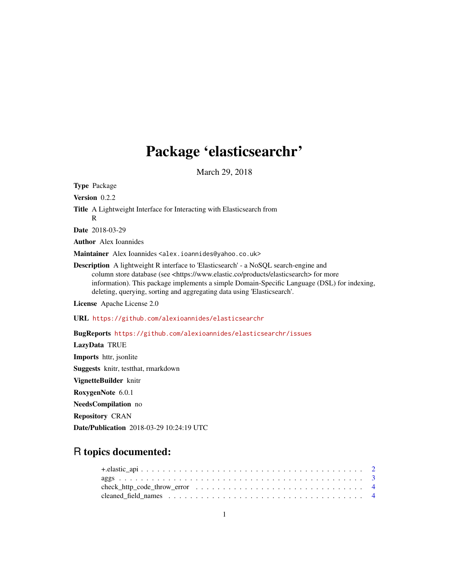# Package 'elasticsearchr'

March 29, 2018

Type Package Version 0.2.2 Title A Lightweight Interface for Interacting with Elasticsearch from R Date 2018-03-29 Author Alex Ioannides Maintainer Alex Ioannides <alex.ioannides@yahoo.co.uk> Description A lightweight R interface to 'Elasticsearch' - a NoSQL search-engine and column store database (see <https://www.elastic.co/products/elasticsearch> for more information). This package implements a simple Domain-Specific Language (DSL) for indexing, deleting, querying, sorting and aggregating data using 'Elasticsearch'. License Apache License 2.0 URL <https://github.com/alexioannides/elasticsearchr> BugReports <https://github.com/alexioannides/elasticsearchr/issues> LazyData TRUE Imports httr, jsonlite Suggests knitr, testthat, rmarkdown VignetteBuilder knitr RoxygenNote 6.0.1 NeedsCompilation no

Repository CRAN

Date/Publication 2018-03-29 10:24:19 UTC

# R topics documented: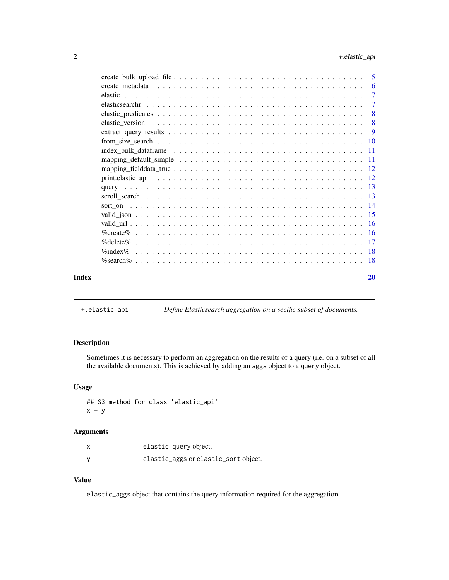<span id="page-1-0"></span>

|       | -6                        |
|-------|---------------------------|
|       | $\overline{7}$            |
|       |                           |
|       | $\overline{\phantom{0}}8$ |
|       |                           |
|       |                           |
|       |                           |
|       |                           |
|       |                           |
|       |                           |
|       |                           |
|       |                           |
|       |                           |
|       |                           |
|       |                           |
|       |                           |
|       |                           |
|       |                           |
|       |                           |
|       |                           |
| Index | 20                        |

+.elastic\_api *Define Elasticsearch aggregation on a secific subset of documents.*

# Description

Sometimes it is necessary to perform an aggregation on the results of a query (i.e. on a subset of all the available documents). This is achieved by adding an aggs object to a query object.

# Usage

## S3 method for class 'elastic\_api'  $x + y$ 

#### Arguments

| elastic_query object.                |
|--------------------------------------|
| elastic_aggs or elastic_sort object. |

# Value

elastic\_aggs object that contains the query information required for the aggregation.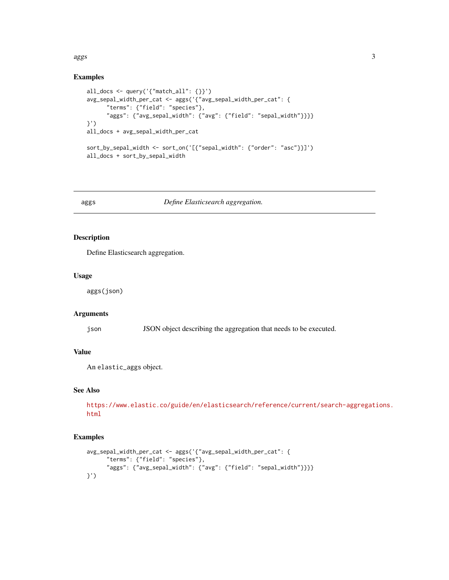#### <span id="page-2-0"></span>aggs 3

# Examples

```
all_docs <- query('{"match_all": {}}')
avg_sepal_width_per_cat <- aggs('{"avg_sepal_width_per_cat": {
     "terms": {"field": "species"},
      "aggs": {"avg_sepal_width": {"avg": {"field": "sepal_width"}}}}
}')
all_docs + avg_sepal_width_per_cat
sort_by_sepal_width <- sort_on('[{"sepal_width": {"order": "asc"}}]')
all_docs + sort_by_sepal_width
```
# aggs *Define Elasticsearch aggregation.*

# Description

Define Elasticsearch aggregation.

#### Usage

aggs(json)

# Arguments

json JSON object describing the aggregation that needs to be executed.

# Value

An elastic\_aggs object.

# See Also

[https://www.elastic.co/guide/en/elasticsearch/reference/current/search-aggregati](https://www.elastic.co/guide/en/elasticsearch/reference/current/search-aggregations.html)ons. [html](https://www.elastic.co/guide/en/elasticsearch/reference/current/search-aggregations.html)

```
avg_sepal_width_per_cat <- aggs('{"avg_sepal_width_per_cat": {
      "terms": {"field": "species"},
      "aggs": {"avg_sepal_width": {"avg": {"field": "sepal_width"}}}}
}')
```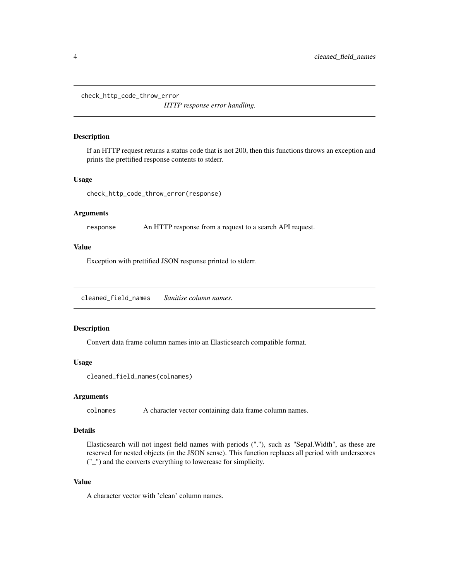<span id="page-3-0"></span>check\_http\_code\_throw\_error

*HTTP response error handling.*

#### Description

If an HTTP request returns a status code that is not 200, then this functions throws an exception and prints the prettified response contents to stderr.

#### Usage

check\_http\_code\_throw\_error(response)

## Arguments

response An HTTP response from a request to a search API request.

#### Value

Exception with prettified JSON response printed to stderr.

cleaned\_field\_names *Sanitise column names.*

#### **Description**

Convert data frame column names into an Elasticsearch compatible format.

#### Usage

```
cleaned_field_names(colnames)
```
#### Arguments

colnames A character vector containing data frame column names.

# Details

Elasticsearch will not ingest field names with periods ("."), such as "Sepal.Width", as these are reserved for nested objects (in the JSON sense). This function replaces all period with underscores ("\_") and the converts everything to lowercase for simplicity.

#### Value

A character vector with 'clean' column names.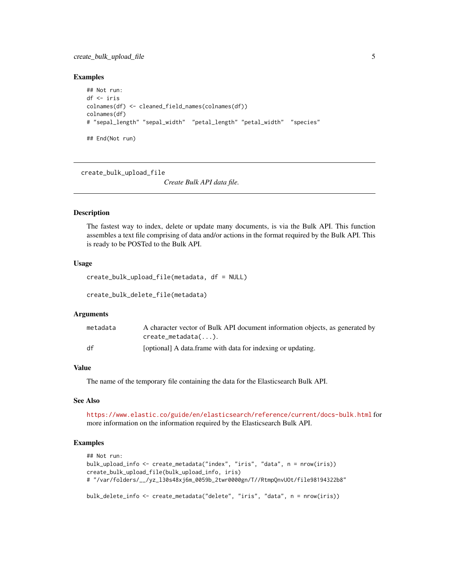# <span id="page-4-0"></span>create\_bulk\_upload\_file 5

#### Examples

```
## Not run:
df <- iris
colnames(df) <- cleaned_field_names(colnames(df))
colnames(df)
# "sepal_length" "sepal_width" "petal_length" "petal_width" "species"
## End(Not run)
```
create\_bulk\_upload\_file

*Create Bulk API data file.*

# Description

The fastest way to index, delete or update many documents, is via the Bulk API. This function assembles a text file comprising of data and/or actions in the format required by the Bulk API. This is ready to be POSTed to the Bulk API.

#### Usage

```
create_bulk_upload_file(metadata, df = NULL)
```
create\_bulk\_delete\_file(metadata)

#### Arguments

| metadata | A character vector of Bulk API document information objects, as generated by<br>$create\_metadata(\dots).$ |
|----------|------------------------------------------------------------------------------------------------------------|
| df       | [optional] A data frame with data for indexing or updating.                                                |

# Value

The name of the temporary file containing the data for the Elasticsearch Bulk API.

#### See Also

<https://www.elastic.co/guide/en/elasticsearch/reference/current/docs-bulk.html> for more information on the information required by the Elasticsearch Bulk API.

```
## Not run:
bulk_upload_info <- create_metadata("index", "iris", "data", n = nrow(iris))
create_bulk_upload_file(bulk_upload_info, iris)
# "/var/folders/__/yz_l30s48xj6m_0059b_2twr0000gn/T//RtmpQnvUOt/file98194322b8"
bulk_delete_info <- create_metadata("delete", "iris", "data", n = nrow(iris))
```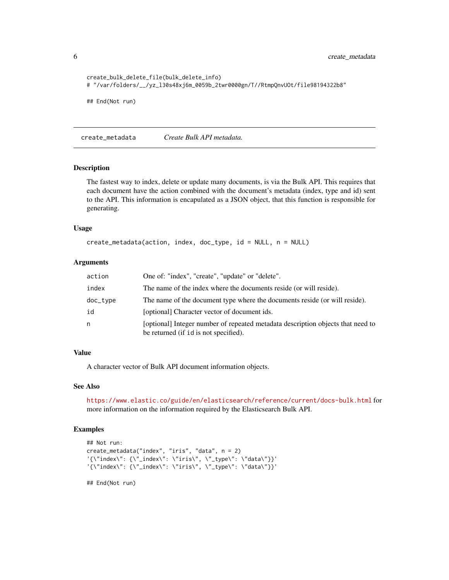```
create_bulk_delete_file(bulk_delete_info)
# "/var/folders/__/yz_l30s48xj6m_0059b_2twr0000gn/T//RtmpQnvUOt/file98194322b8"
## End(Not run)
```
create\_metadata *Create Bulk API metadata.*

#### **Description**

The fastest way to index, delete or update many documents, is via the Bulk API. This requires that each document have the action combined with the document's metadata (index, type and id) sent to the API. This information is encapulated as a JSON object, that this function is responsible for generating.

#### Usage

```
create_metadata(action, index, doc_type, id = NULL, n = NULL)
```
#### Arguments

| action   | One of: "index", "create", "update" or "delete".                                                                         |
|----------|--------------------------------------------------------------------------------------------------------------------------|
| index    | The name of the index where the documents reside (or will reside).                                                       |
| doc_type | The name of the document type where the documents reside (or will reside).                                               |
| id       | [optional] Character vector of document ids.                                                                             |
| n        | [optional] Integer number of repeated metadata description objects that need to<br>be returned (if id is not specified). |

# Value

A character vector of Bulk API document information objects.

#### See Also

<https://www.elastic.co/guide/en/elasticsearch/reference/current/docs-bulk.html> for more information on the information required by the Elasticsearch Bulk API.

#### Examples

```
## Not run:
create_metadata("index", "iris", "data", n = 2)
'{\"index\": {\"_index\": \"iris\", \"_type\": \"data\"}}'
'{\"index\": {\"_index\": \"iris\", \"_type\": \"data\"}}'
```
<span id="page-5-0"></span>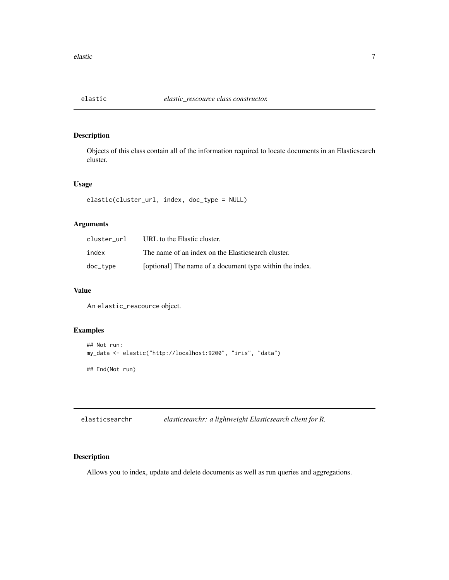<span id="page-6-0"></span>

Objects of this class contain all of the information required to locate documents in an Elasticsearch cluster.

# Usage

elastic(cluster\_url, index, doc\_type = NULL)

# Arguments

| cluster url | URL to the Elastic cluster.                              |
|-------------|----------------------------------------------------------|
| index       | The name of an index on the Elasticsearch cluster.       |
| doc_type    | [optional] The name of a document type within the index. |

# Value

An elastic\_rescource object.

# Examples

```
## Not run:
my_data <- elastic("http://localhost:9200", "iris", "data")
## End(Not run)
```

| elasticsearchr | elasticsearchr: a lightweight Elasticsearch client for R. |  |  |  |
|----------------|-----------------------------------------------------------|--|--|--|
|----------------|-----------------------------------------------------------|--|--|--|

# Description

Allows you to index, update and delete documents as well as run queries and aggregations.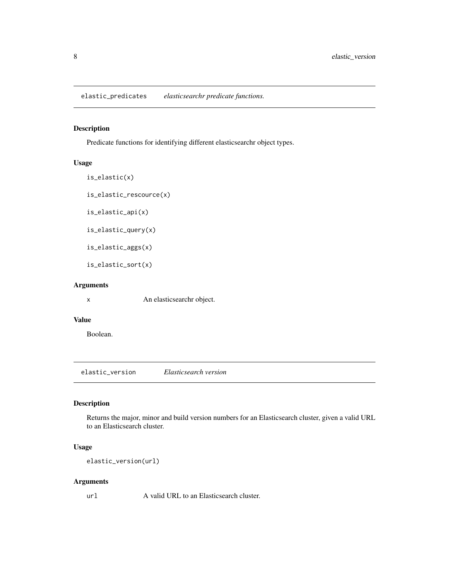<span id="page-7-0"></span>elastic\_predicates *elasticsearchr predicate functions.*

# Description

Predicate functions for identifying different elasticsearchr object types.

# Usage

```
is_elastic(x)
is_elastic_rescource(x)
is_elastic_api(x)
is_elastic_query(x)
is_elastic_aggs(x)
is_elastic_sort(x)
```
# Arguments

x An elasticsearchr object.

#### Value

Boolean.

elastic\_version *Elasticsearch version*

### Description

Returns the major, minor and build version numbers for an Elasticsearch cluster, given a valid URL to an Elasticsearch cluster.

# Usage

elastic\_version(url)

# Arguments

url A valid URL to an Elasticsearch cluster.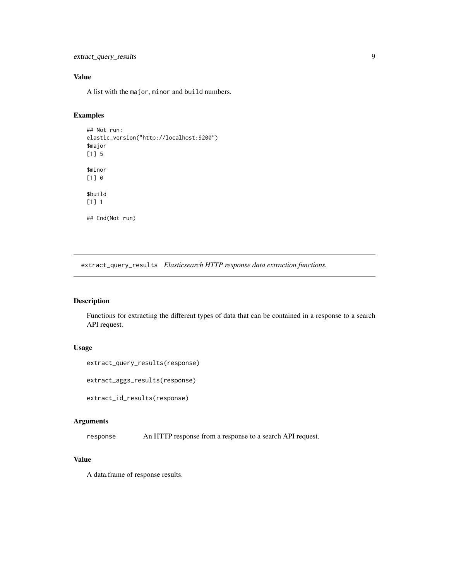```
extract_query_results 9
```
# Value

A list with the major, minor and build numbers.

# Examples

```
## Not run:
elastic_version("http://localhost:9200")
$major
[1] 5
$minor
[1] 0
$build
[1] 1
## End(Not run)
```
extract\_query\_results *Elasticsearch HTTP response data extraction functions.*

# Description

Functions for extracting the different types of data that can be contained in a response to a search API request.

#### Usage

```
extract_query_results(response)
```

```
extract_aggs_results(response)
```
extract\_id\_results(response)

#### Arguments

response An HTTP response from a response to a search API request.

# Value

A data.frame of response results.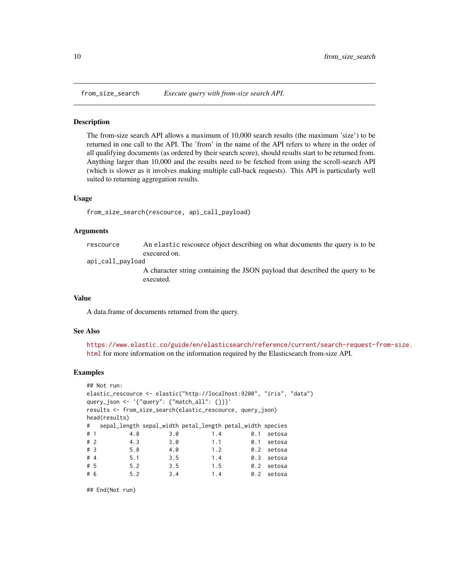<span id="page-9-0"></span>

The from-size search API allows a maximum of 10,000 search results (the maximum 'size') to be returned in one call to the API. The 'from' in the name of the API refers to where in the order of all qualifying documents (as ordered by their search score), should results start to be returned from. Anything larger than 10,000 and the results need to be fetched from using the scroll-search API (which is slower as it involves making multiple call-back requests). This API is particularly well suited to returning aggregation results.

#### Usage

```
from_size_search(rescource, api_call_payload)
```
#### Arguments

| rescource | An elastic rescource object describing on what documents the query is to be |
|-----------|-----------------------------------------------------------------------------|
|           | execured on.                                                                |

api\_call\_payload

A character string containing the JSON payload that described the query to be executed.

#### Value

A data.frame of documents returned from the query.

### See Also

[https://www.elastic.co/guide/en/elasticsearch/reference/current/search-request-f](https://www.elastic.co/guide/en/elasticsearch/reference/current/search-request-from-size.html)rom-size. [html](https://www.elastic.co/guide/en/elasticsearch/reference/current/search-request-from-size.html) for more information on the information required by the Elasticsearch from-size API.

#### Examples

```
## Not run:
elastic_rescource <- elastic("http://localhost:9200", "iris", "data")
query_json <- '{"query": {"match_all": {}}}'
results <- from_size_search(elastic_rescource, query_json)
head(results)
# sepal_length sepal_width petal_length petal_width species
# 1 4.8 3.0 1.4 0.1 setosa
# 2 4.3 3.0 1.1 0.1 setosa
# 3 5.8 4.0 1.2 0.2 setosa
# 4 5.1 3.5 1.4 0.3 setosa
# 5 5.2 3.5 1.5 0.2 setosa
# 6 5.2 3.4 1.4 0.2 setosa
```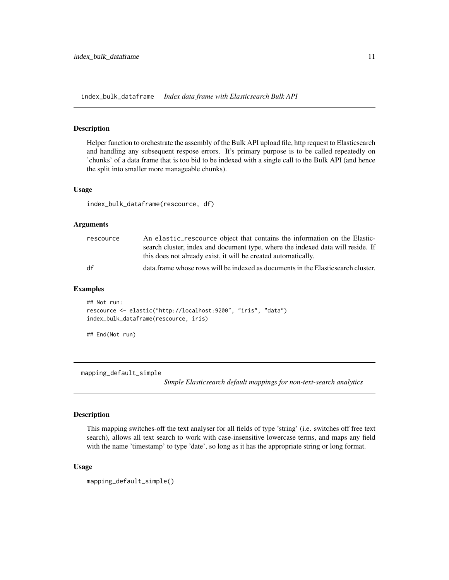<span id="page-10-0"></span>index\_bulk\_dataframe *Index data frame with Elasticsearch Bulk API*

## Description

Helper function to orchestrate the assembly of the Bulk API upload file, http request to Elasticsearch and handling any subsequent respose errors. It's primary purpose is to be called repeatedly on 'chunks' of a data frame that is too bid to be indexed with a single call to the Bulk API (and hence the split into smaller more manageable chunks).

#### Usage

index\_bulk\_dataframe(rescource, df)

#### Arguments

| rescource | An elastic_rescource object that contains the information on the Elastic-        |
|-----------|----------------------------------------------------------------------------------|
|           | search cluster, index and document type, where the indexed data will reside. If  |
|           | this does not already exist, it will be created automatically.                   |
| df        | data frame whose rows will be indexed as documents in the Elasticsearch cluster. |

#### Examples

```
## Not run:
rescource <- elastic("http://localhost:9200", "iris", "data")
index_bulk_dataframe(rescource, iris)
```

```
## End(Not run)
```
mapping\_default\_simple

*Simple Elasticsearch default mappings for non-text-search analytics*

# Description

This mapping switches-off the text analyser for all fields of type 'string' (i.e. switches off free text search), allows all text search to work with case-insensitive lowercase terms, and maps any field with the name 'timestamp' to type 'date', so long as it has the appropriate string or long format.

### Usage

mapping\_default\_simple()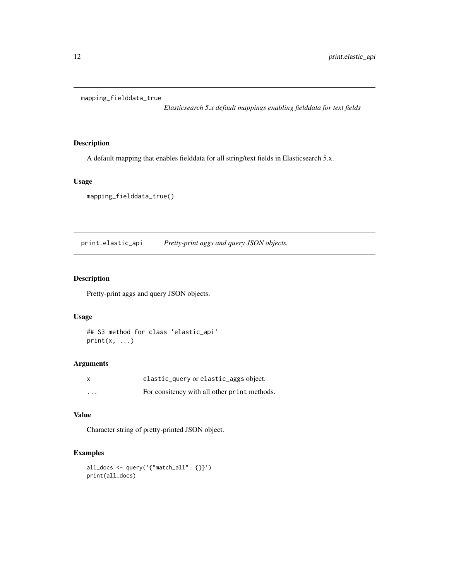<span id="page-11-0"></span>mapping\_fielddata\_true

*Elasticsearch 5.x default mappings enabling fielddata for text fields*

# Description

A default mapping that enables fielddata for all string/text fields in Elasticsearch 5.x.

# Usage

mapping\_fielddata\_true()

print.elastic\_api *Pretty-print aggs and query JSON objects.*

# Description

Pretty-print aggs and query JSON objects.

# Usage

## S3 method for class 'elastic\_api'  $print(x, \ldots)$ 

#### Arguments

| X                       | elastic_query or elastic_aggs object.        |
|-------------------------|----------------------------------------------|
| $\cdot$ $\cdot$ $\cdot$ | For consitency with all other print methods. |

# Value

Character string of pretty-printed JSON object.

```
all_docs <- query('{"match_all": {}}')
print(all_docs)
```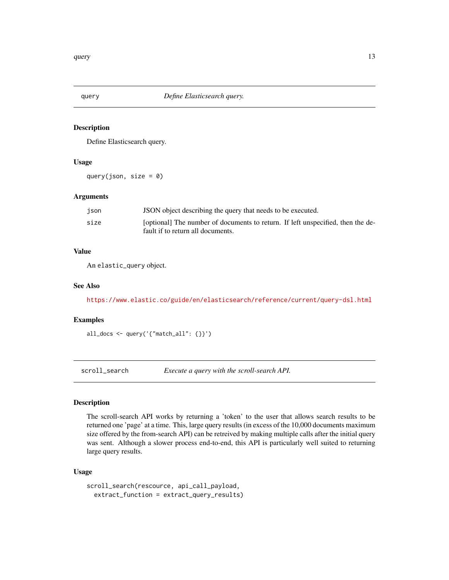<span id="page-12-0"></span>

Define Elasticsearch query.

#### Usage

query(json, size =  $0$ )

#### Arguments

| ison | JSON object describing the query that needs to be executed.                                                          |
|------|----------------------------------------------------------------------------------------------------------------------|
| size | [optional] The number of documents to return. If left unspecified, then the de-<br>fault if to return all documents. |
|      |                                                                                                                      |

#### Value

An elastic\_query object.

#### See Also

<https://www.elastic.co/guide/en/elasticsearch/reference/current/query-dsl.html>

#### Examples

all\_docs <- query('{"match\_all": {}}')

scroll\_search *Execute a query with the scroll-search API.*

# Description

The scroll-search API works by returning a 'token' to the user that allows search results to be returned one 'page' at a time. This, large query results (in excess of the 10,000 documents maximum size offered by the from-search API) can be retreived by making multiple calls after the initial query was sent. Although a slower process end-to-end, this API is particularly well suited to returning large query results.

#### Usage

```
scroll_search(rescource, api_call_payload,
  extract_function = extract_query_results)
```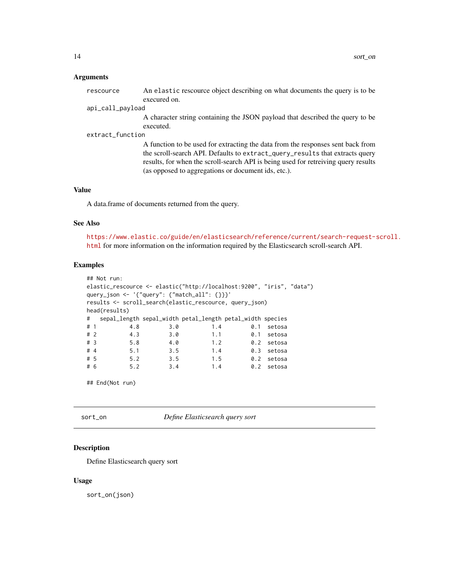#### <span id="page-13-0"></span>**Arguments**

| rescource        | An elastic rescource object describing on what documents the query is to be     |
|------------------|---------------------------------------------------------------------------------|
|                  | execured on.                                                                    |
| api_call_payload |                                                                                 |
|                  | A character string containing the JSON payload that described the query to be   |
|                  | executed.                                                                       |
| extract_function |                                                                                 |
|                  | A function to be used for extracting the data from the responses sent back from |

the scroll-search API. Defaults to extract\_query\_results that extracts query results, for when the scroll-search API is being used for retreiving query results (as opposed to aggregations or document ids, etc.).

# Value

A data.frame of documents returned from the query.

#### See Also

[https://www.elastic.co/guide/en/elasticsearch/reference/current/search-request-s](https://www.elastic.co/guide/en/elasticsearch/reference/current/search-request-scroll.html)croll. [html](https://www.elastic.co/guide/en/elasticsearch/reference/current/search-request-scroll.html) for more information on the information required by the Elasticsearch scroll-search API.

# Examples

```
## Not run:
elastic_rescource <- elastic("http://localhost:9200", "iris", "data")
query_json <- '{"query": {"match_all": {}}}'
results <- scroll_search(elastic_rescource, query_json)
head(results)
# sepal_length sepal_width petal_length petal_width species
# 1 4.8 3.0 1.4 0.1 setosa
# 2 4.3 3.0 1.1 0.1 setosa
4.0 1.2 0.1 setosa<br>
4.0 1.2 0.2 setosa<br>
4.4 5.1 3.5 1.4 0.3 setosa
# 4 5.1 3.5 1.4 0.3 setosa
# 5 5.2 3.5 1.5 0.2 setosa
# 6 5.2 3.4 1.4 0.2 setosa
```

```
## End(Not run)
```
sort\_on *Define Elasticsearch query sort*

# Description

Define Elasticsearch query sort

#### Usage

sort\_on(json)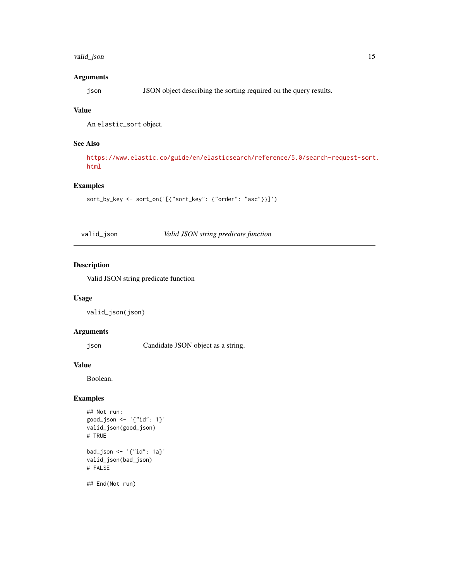# <span id="page-14-0"></span>valid\_json 15

# Arguments

json JSON object describing the sorting required on the query results.

# Value

An elastic\_sort object.

# See Also

[https://www.elastic.co/guide/en/elasticsearch/reference/5.0/search-request-sort.](https://www.elastic.co/guide/en/elasticsearch/reference/5.0/search-request-sort.html) [html](https://www.elastic.co/guide/en/elasticsearch/reference/5.0/search-request-sort.html)

# Examples

```
sort_by_key <- sort_on('[{"sort_key": {"order": "asc"}}]')
```
valid\_json *Valid JSON string predicate function*

# Description

Valid JSON string predicate function

# Usage

valid\_json(json)

# Arguments

json Candidate JSON object as a string.

#### Value

Boolean.

# Examples

```
## Not run:
good_json <- '{"id": 1}'
valid_json(good_json)
# TRUE
bad_json <- '{"id": 1a}'
valid_json(bad_json)
# FALSE
```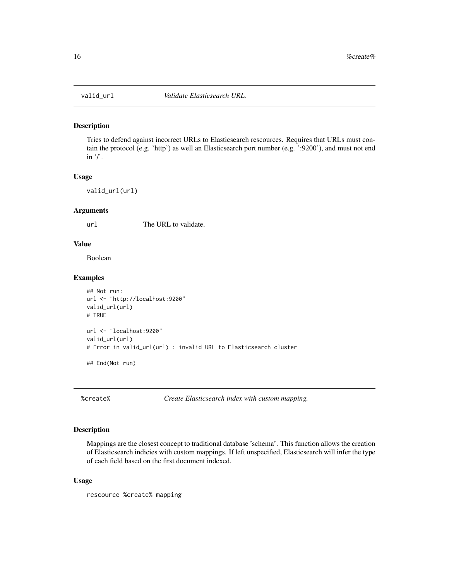<span id="page-15-0"></span>

Tries to defend against incorrect URLs to Elasticsearch rescources. Requires that URLs must contain the protocol (e.g. 'http') as well an Elasticsearch port number (e.g. ':9200'), and must not end in  $\prime$ .

#### Usage

valid\_url(url)

#### Arguments

url The URL to validate.

#### Value

Boolean

# Examples

```
## Not run:
url <- "http://localhost:9200"
valid_url(url)
# TRUE
url <- "localhost:9200"
valid_url(url)
# Error in valid_url(url) : invalid URL to Elasticsearch cluster
## End(Not run)
```
%create% *Create Elasticsearch index with custom mapping.*

#### Description

Mappings are the closest concept to traditional database 'schema'. This function allows the creation of Elasticsearch indicies with custom mappings. If left unspecified, Elasticsearch will infer the type of each field based on the first document indexed.

#### Usage

rescource %create% mapping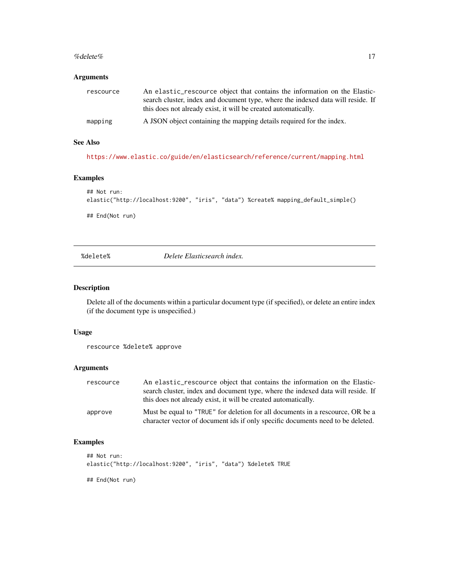#### <span id="page-16-0"></span>% delete% 17

#### Arguments

| rescource | An elastic rescource object that contains the information on the Elastic-<br>search cluster, index and document type, where the indexed data will reside. If<br>this does not already exist, it will be created automatically. |
|-----------|--------------------------------------------------------------------------------------------------------------------------------------------------------------------------------------------------------------------------------|
| mapping   | A JSON object containing the mapping details required for the index.                                                                                                                                                           |

# See Also

<https://www.elastic.co/guide/en/elasticsearch/reference/current/mapping.html>

## Examples

```
## Not run:
elastic("http://localhost:9200", "iris", "data") %create% mapping_default_simple()
## End(Not run)
```
%delete% *Delete Elasticsearch index.*

# Description

Delete all of the documents within a particular document type (if specified), or delete an entire index (if the document type is unspecified.)

#### Usage

```
rescource %delete% approve
```
#### Arguments

| rescource | An elastic rescource object that contains the information on the Elastic-<br>search cluster, index and document type, where the indexed data will reside. If<br>this does not already exist, it will be created automatically. |
|-----------|--------------------------------------------------------------------------------------------------------------------------------------------------------------------------------------------------------------------------------|
| approve   | Must be equal to "TRUE" for deletion for all documents in a rescource, OR be a<br>character vector of document ids if only specific documents need to be deleted.                                                              |

```
## Not run:
elastic("http://localhost:9200", "iris", "data") %delete% TRUE
## End(Not run)
```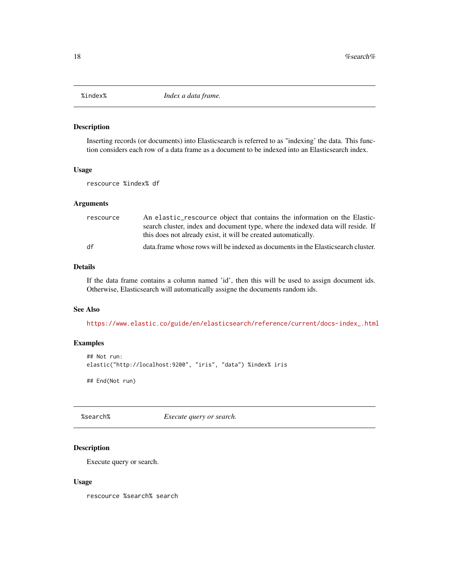<span id="page-17-0"></span>

Inserting records (or documents) into Elasticsearch is referred to as "indexing' the data. This function considers each row of a data frame as a document to be indexed into an Elasticsearch index.

#### Usage

rescource %index% df

# Arguments

| rescource | An elastic_rescource object that contains the information on the Elastic-        |
|-----------|----------------------------------------------------------------------------------|
|           | search cluster, index and document type, where the indexed data will reside. If  |
|           | this does not already exist, it will be created automatically.                   |
| df        | data frame whose rows will be indexed as documents in the Elasticsearch cluster. |

#### Details

If the data frame contains a column named 'id', then this will be used to assign document ids. Otherwise, Elasticsearch will automatically assigne the documents random ids.

# See Also

[https://www.elastic.co/guide/en/elasticsearch/reference/current/docs-index\\_.html](https://www.elastic.co/guide/en/elasticsearch/reference/current/docs-index_.html)

# Examples

```
## Not run:
elastic("http://localhost:9200", "iris", "data") %index% iris
```
## End(Not run)

%search% *Execute query or search.*

#### Description

Execute query or search.

#### Usage

rescource %search% search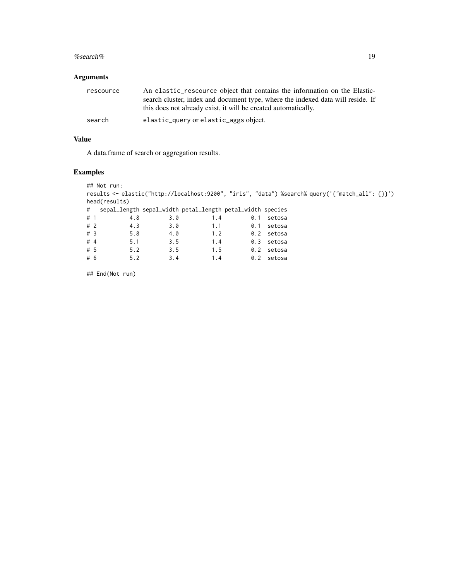#### %search% 19

# Arguments

| rescource | An elastic rescource object that contains the information on the Elastic-<br>search cluster, index and document type, where the indexed data will reside. If<br>this does not already exist, it will be created automatically. |
|-----------|--------------------------------------------------------------------------------------------------------------------------------------------------------------------------------------------------------------------------------|
| search    | elastic_query or elastic_aggs object.                                                                                                                                                                                          |

## Value

A data.frame of search or aggregation results.

# Examples

```
## Not run:
results <- elastic("http://localhost:9200", "iris", "data") %search% query('{"match_all": {}}')
head(results)
# sepal_length sepal_width petal_length petal_width species
# 1 4.8 3.0 1.4 0.1 setosa
# 2 4.3 3.0 1.1 0.1 setosa
# 3 5.8 4.0 1.2 0.2 setosa
# 4 5.1 3.5 1.4 0.3 setosa
# 5 5.2 3.5 1.5 0.2 setosa
# 6 5.2 3.4 1.4 0.2 setosa
```